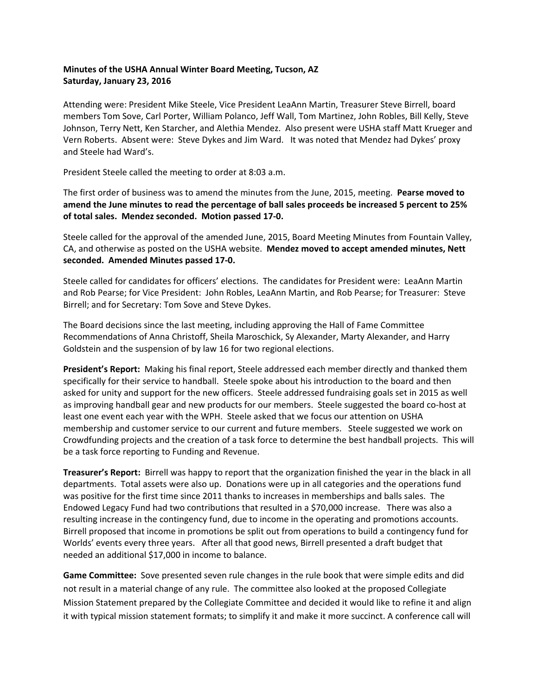## **Minutes of the USHA Annual Winter Board Meeting, Tucson, AZ Saturday, January 23, 2016**

Attending were: President Mike Steele, Vice President LeaAnn Martin, Treasurer Steve Birrell, board members Tom Sove, Carl Porter, William Polanco, Jeff Wall, Tom Martinez, John Robles, Bill Kelly, Steve Johnson, Terry Nett, Ken Starcher, and Alethia Mendez. Also present were USHA staff Matt Krueger and Vern Roberts. Absent were: Steve Dykes and Jim Ward. It was noted that Mendez had Dykes' proxy and Steele had Ward's.

President Steele called the meeting to order at 8:03 a.m.

The first order of business was to amend the minutes from the June, 2015, meeting. **Pearse moved to amend the June minutes to read the percentage of ball sales proceeds be increased 5 percent to 25% of total sales. Mendez seconded. Motion passed 17‐0.** 

Steele called for the approval of the amended June, 2015, Board Meeting Minutes from Fountain Valley, CA, and otherwise as posted on the USHA website. **Mendez moved to accept amended minutes, Nett seconded. Amended Minutes passed 17‐0.**

Steele called for candidates for officers' elections. The candidates for President were: LeaAnn Martin and Rob Pearse; for Vice President: John Robles, LeaAnn Martin, and Rob Pearse; for Treasurer: Steve Birrell; and for Secretary: Tom Sove and Steve Dykes.

The Board decisions since the last meeting, including approving the Hall of Fame Committee Recommendations of Anna Christoff, Sheila Maroschick, Sy Alexander, Marty Alexander, and Harry Goldstein and the suspension of by law 16 for two regional elections.

**President's Report:** Making his final report, Steele addressed each member directly and thanked them specifically for their service to handball. Steele spoke about his introduction to the board and then asked for unity and support for the new officers. Steele addressed fundraising goals set in 2015 as well as improving handball gear and new products for our members. Steele suggested the board co-host at least one event each year with the WPH. Steele asked that we focus our attention on USHA membership and customer service to our current and future members. Steele suggested we work on Crowdfunding projects and the creation of a task force to determine the best handball projects. This will be a task force reporting to Funding and Revenue.

**Treasurer's Report:** Birrell was happy to report that the organization finished the year in the black in all departments. Total assets were also up. Donations were up in all categories and the operations fund was positive for the first time since 2011 thanks to increases in memberships and balls sales. The Endowed Legacy Fund had two contributions that resulted in a \$70,000 increase. There was also a resulting increase in the contingency fund, due to income in the operating and promotions accounts. Birrell proposed that income in promotions be split out from operations to build a contingency fund for Worlds' events every three years. After all that good news, Birrell presented a draft budget that needed an additional \$17,000 in income to balance.

**Game Committee:** Sove presented seven rule changes in the rule book that were simple edits and did not result in a material change of any rule. The committee also looked at the proposed Collegiate Mission Statement prepared by the Collegiate Committee and decided it would like to refine it and align it with typical mission statement formats; to simplify it and make it more succinct. A conference call will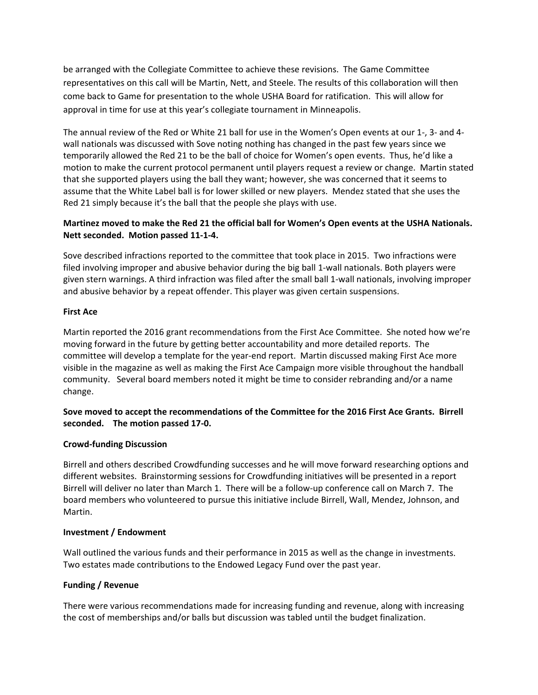be arranged with the Collegiate Committee to achieve these revisions. The Game Committee representatives on this call will be Martin, Nett, and Steele. The results of this collaboration will then come back to Game for presentation to the whole USHA Board for ratification. This will allow for approval in time for use at this year's collegiate tournament in Minneapolis.

The annual review of the Red or White 21 ball for use in the Women's Open events at our 1‐, 3‐ and 4‐ wall nationals was discussed with Sove noting nothing has changed in the past few years since we temporarily allowed the Red 21 to be the ball of choice for Women's open events. Thus, he'd like a motion to make the current protocol permanent until players request a review or change. Martin stated that she supported players using the ball they want; however, she was concerned that it seems to assume that the White Label ball is for lower skilled or new players. Mendez stated that she uses the Red 21 simply because it's the ball that the people she plays with use.

## Martinez moved to make the Red 21 the official ball for Women's Open events at the USHA Nationals. **Nett seconded. Motion passed 11‐1‐4.**

Sove described infractions reported to the committee that took place in 2015. Two infractions were filed involving improper and abusive behavior during the big ball 1‐wall nationals. Both players were given stern warnings. A third infraction was filed after the small ball 1‐wall nationals, involving improper and abusive behavior by a repeat offender. This player was given certain suspensions.

## **First Ace**

Martin reported the 2016 grant recommendations from the First Ace Committee. She noted how we're moving forward in the future by getting better accountability and more detailed reports. The committee will develop a template for the year-end report. Martin discussed making First Ace more visible in the magazine as well as making the First Ace Campaign more visible throughout the handball community. Several board members noted it might be time to consider rebranding and/or a name change.

# **Sove moved to accept the recommendations of the Committee for the 2016 First Ace Grants. Birrell seconded. The motion passed 17‐0.**

## **Crowd‐funding Discussion**

Birrell and others described Crowdfunding successes and he will move forward researching options and different websites. Brainstorming sessions for Crowdfunding initiatives will be presented in a report Birrell will deliver no later than March 1. There will be a follow‐up conference call on March 7. The board members who volunteered to pursue this initiative include Birrell, Wall, Mendez, Johnson, and Martin.

## **Investment / Endowment**

Wall outlined the various funds and their performance in 2015 as well as the change in investments. Two estates made contributions to the Endowed Legacy Fund over the past year.

# **Funding / Revenue**

There were various recommendations made for increasing funding and revenue, along with increasing the cost of memberships and/or balls but discussion was tabled until the budget finalization.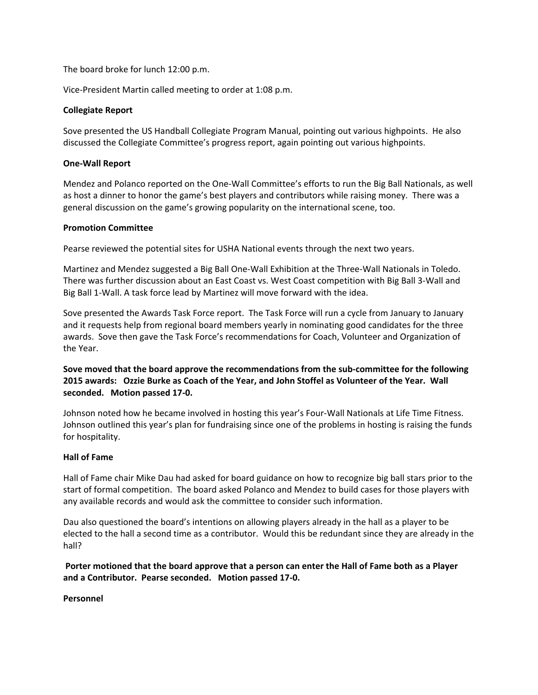The board broke for lunch 12:00 p.m.

Vice‐President Martin called meeting to order at 1:08 p.m.

#### **Collegiate Report**

Sove presented the US Handball Collegiate Program Manual, pointing out various highpoints. He also discussed the Collegiate Committee's progress report, again pointing out various highpoints.

#### **One‐Wall Report**

Mendez and Polanco reported on the One‐Wall Committee's efforts to run the Big Ball Nationals, as well as host a dinner to honor the game's best players and contributors while raising money. There was a general discussion on the game's growing popularity on the international scene, too.

### **Promotion Committee**

Pearse reviewed the potential sites for USHA National events through the next two years.

Martinez and Mendez suggested a Big Ball One‐Wall Exhibition at the Three‐Wall Nationals in Toledo. There was further discussion about an East Coast vs. West Coast competition with Big Ball 3‐Wall and Big Ball 1‐Wall. A task force lead by Martinez will move forward with the idea.

Sove presented the Awards Task Force report. The Task Force will run a cycle from January to January and it requests help from regional board members yearly in nominating good candidates for the three awards. Sove then gave the Task Force's recommendations for Coach, Volunteer and Organization of the Year.

## **Sove moved that the board approve the recommendations from the sub‐committee for the following** 2015 awards: Ozzie Burke as Coach of the Year, and John Stoffel as Volunteer of the Year. Wall **seconded. Motion passed 17‐0.**

Johnson noted how he became involved in hosting this year's Four‐Wall Nationals at Life Time Fitness. Johnson outlined this year's plan for fundraising since one of the problems in hosting is raising the funds for hospitality.

#### **Hall of Fame**

Hall of Fame chair Mike Dau had asked for board guidance on how to recognize big ball stars prior to the start of formal competition. The board asked Polanco and Mendez to build cases for those players with any available records and would ask the committee to consider such information.

Dau also questioned the board's intentions on allowing players already in the hall as a player to be elected to the hall a second time as a contributor. Would this be redundant since they are already in the hall?

Porter motioned that the board approve that a person can enter the Hall of Fame both as a Player **and a Contributor. Pearse seconded. Motion passed 17‐0.**

**Personnel**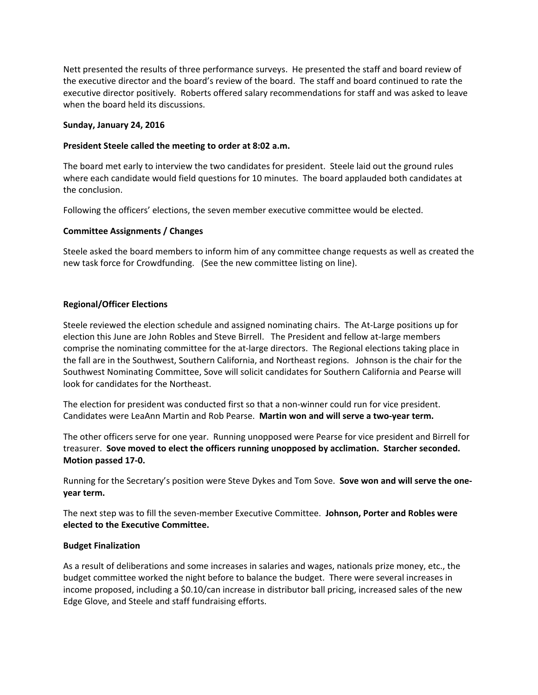Nett presented the results of three performance surveys. He presented the staff and board review of the executive director and the board's review of the board. The staff and board continued to rate the executive director positively. Roberts offered salary recommendations for staff and was asked to leave when the board held its discussions.

### **Sunday, January 24, 2016**

### **President Steele called the meeting to order at 8:02 a.m.**

The board met early to interview the two candidates for president. Steele laid out the ground rules where each candidate would field questions for 10 minutes. The board applauded both candidates at the conclusion.

Following the officers' elections, the seven member executive committee would be elected.

### **Committee Assignments / Changes**

Steele asked the board members to inform him of any committee change requests as well as created the new task force for Crowdfunding. (See the new committee listing on line).

### **Regional/Officer Elections**

Steele reviewed the election schedule and assigned nominating chairs. The At-Large positions up for election this June are John Robles and Steve Birrell. The President and fellow at‐large members comprise the nominating committee for the at-large directors. The Regional elections taking place in the fall are in the Southwest, Southern California, and Northeast regions. Johnson is the chair for the Southwest Nominating Committee, Sove will solicit candidates for Southern California and Pearse will look for candidates for the Northeast.

The election for president was conducted first so that a non-winner could run for vice president. Candidates were LeaAnn Martin and Rob Pearse. **Martin won and will serve a two‐year term.**

The other officers serve for one year. Running unopposed were Pearse for vice president and Birrell for treasurer. **Sove moved to elect the officers running unopposed by acclimation. Starcher seconded. Motion passed 17‐0.**

Running for the Secretary's position were Steve Dykes and Tom Sove. **Sove won and will serve the one‐ year term.** 

The next step was to fill the seven‐member Executive Committee. **Johnson, Porter and Robles were elected to the Executive Committee.** 

#### **Budget Finalization**

As a result of deliberations and some increases in salaries and wages, nationals prize money, etc., the budget committee worked the night before to balance the budget. There were several increases in income proposed, including a \$0.10/can increase in distributor ball pricing, increased sales of the new Edge Glove, and Steele and staff fundraising efforts.